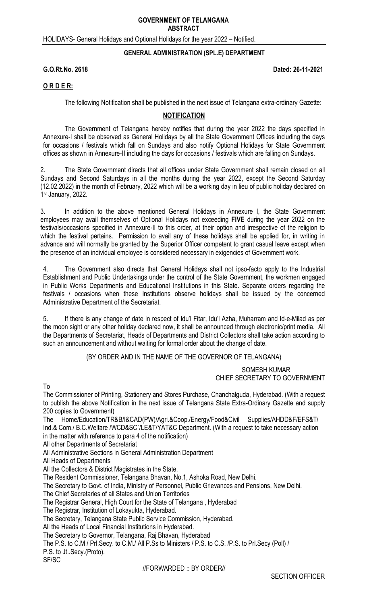#### **GOVERNMENT OF TELANGANA ABSTRACT**

HOLIDAYS- General Holidays and Optional Holidays for the year 2022 – Notified.

#### **GENERAL ADMINISTRATION (SPL.E) DEPARTMENT**

**G.O.Rt.No. 2618 Dated: 26-11-2021** 

### **O R D E R:**

The following Notification shall be published in the next issue of Telangana extra-ordinary Gazette:

## **NOTIFICATION**

The Government of Telangana hereby notifies that during the year 2022 the days specified in Annexure-I shall be observed as General Holidays by all the State Government Offices including the days for occasions / festivals which fall on Sundays and also notify Optional Holidays for State Government offices as shown in Annexure-II including the days for occasions / festivals which are falling on Sundays.

2. The State Government directs that all offices under State Government shall remain closed on all Sundays and Second Saturdays in all the months during the year 2022, except the Second Saturday (12.02.2022) in the month of February, 2022 which will be a working day in lieu of public holiday declared on 1st January, 2022.

3. In addition to the above mentioned General Holidays in Annexure I, the State Government employees may avail themselves of Optional Holidays not exceeding **FIVE** during the year 2022 on the festivals/occasions specified in Annexure-II to this order, at their option and irrespective of the religion to which the festival pertains. Permission to avail any of these holidays shall be applied for, in writing in advance and will normally be granted by the Superior Officer competent to grant casual leave except when the presence of an individual employee is considered necessary in exigencies of Government work.

4. The Government also directs that General Holidays shall not ipso-facto apply to the Industrial Establishment and Public Undertakings under the control of the State Government, the workmen engaged in Public Works Departments and Educational Institutions in this State. Separate orders regarding the festivals / occasions when these Institutions observe holidays shall be issued by the concerned Administrative Department of the Secretariat.

5. If there is any change of date in respect of Idu'l Fitar, Idu'l Azha, Muharram and Id-e-Milad as per the moon sight or any other holiday declared now, it shall be announced through electronic/print media. All the Departments of Secretariat, Heads of Departments and District Collectors shall take action according to such an announcement and without waiting for formal order about the change of date.

(BY ORDER AND IN THE NAME OF THE GOVERNOR OF TELANGANA)

 SOMESH KUMAR CHIEF SECRETARY TO GOVERNMENT

To

The Commissioner of Printing, Stationery and Stores Purchase, Chanchalguda, Hyderabad. (With a request to publish the above Notification in the next issue of Telangana State Extra-Ordinary Gazette and supply 200 copies to Government)

The Home/Education/TR&B/I&CAD(PW)/Agri.&Coop./Energy/Food&Civil Supplies/AHDD&F/EFS&T/ Ind.& Com./ B.C.Welfare /WCD&SC`/LE&T/YAT&C Department. (With a request to take necessary action in the matter with reference to para 4 of the notification)

All other Departments of Secretariat

All Administrative Sections in General Administration Department

All Heads of Departments

All the Collectors & District Magistrates in the State.

The Resident Commissioner, Telangana Bhavan, No.1, Ashoka Road, New Delhi.

The Secretary to Govt. of India, Ministry of Personnel, Public Grievances and Pensions, New Delhi.

The Chief Secretaries of all States and Union Territories

The Registrar General, High Court for the State of Telangana , Hyderabad

The Registrar, Institution of Lokayukta, Hyderabad.

The Secretary, Telangana State Public Service Commission, Hyderabad.

All the Heads of Local Financial Institutions in Hyderabad.

The Secretary to Governor, Telangana, Raj Bhavan, Hyderabad

The P.S. to C.M / Prl.Secy. to C.M./ All P.Ss to Ministers / P.S. to C.S. /P.S. to Prl.Secy (Poll) / P.S. to Jt..Secy.(Proto).

SF/SC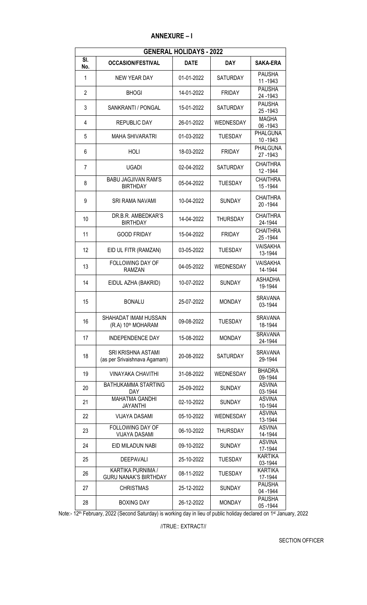| <b>GENERAL HOLIDAYS - 2022</b> |                                                    |             |                  |                              |  |  |
|--------------------------------|----------------------------------------------------|-------------|------------------|------------------------------|--|--|
| SI.<br>No.                     | <b>OCCASION/FESTIVAL</b>                           | <b>DATE</b> | <b>DAY</b>       | <b>SAKA-ERA</b>              |  |  |
| 1                              | <b>NEW YEAR DAY</b>                                | 01-01-2022  | <b>SATURDAY</b>  | <b>PAUSHA</b><br>11 - 1943   |  |  |
| $\overline{2}$                 | <b>BHOGI</b>                                       | 14-01-2022  | <b>FRIDAY</b>    | <b>PAUSHA</b><br>24 - 1943   |  |  |
| 3                              | SANKRANTI / PONGAL                                 | 15-01-2022  | <b>SATURDAY</b>  | <b>PAUSHA</b><br>25-1943     |  |  |
| 4                              | <b>REPUBLIC DAY</b>                                | 26-01-2022  | WEDNESDAY        | <b>MAGHA</b><br>06 - 1943    |  |  |
| 5                              | <b>MAHA SHIVARATRI</b>                             | 01-03-2022  | <b>TUESDAY</b>   | <b>PHALGUNA</b><br>10 - 1943 |  |  |
| 6                              | <b>HOLI</b>                                        | 18-03-2022  | <b>FRIDAY</b>    | <b>PHALGUNA</b><br>27-1943   |  |  |
| 7                              | <b>UGADI</b>                                       | 02-04-2022  | <b>SATURDAY</b>  | <b>CHAITHRA</b><br>12 - 1944 |  |  |
| 8                              | <b>BABU JAGJIVAN RAM'S</b><br><b>BIRTHDAY</b>      | 05-04-2022  | <b>TUESDAY</b>   | <b>CHAITHRA</b><br>15 - 1944 |  |  |
| 9                              | <b>SRI RAMA NAVAMI</b>                             | 10-04-2022  | <b>SUNDAY</b>    | <b>CHAITHRA</b><br>20 - 1944 |  |  |
| 10                             | DR.B.R. AMBEDKAR'S<br><b>BIRTHDAY</b>              | 14-04-2022  | <b>THURSDAY</b>  | <b>CHAITHRA</b><br>24-1944   |  |  |
| 11                             | <b>GOOD FRIDAY</b>                                 | 15-04-2022  | <b>FRIDAY</b>    | <b>CHAITHRA</b><br>25-1944   |  |  |
| 12                             | EID UL FITR (RAMZAN)                               | 03-05-2022  | <b>TUESDAY</b>   | <b>VAISAKHA</b><br>13-1944   |  |  |
| 13                             | <b>FOLLOWING DAY OF</b><br><b>RAMZAN</b>           | 04-05-2022  | WEDNESDAY        | <b>VAISAKHA</b><br>14-1944   |  |  |
| 14                             | EIDUL AZHA (BAKRID)                                | 10-07-2022  | <b>SUNDAY</b>    | ASHADHA<br>19-1944           |  |  |
| 15                             | <b>BONALU</b>                                      | 25-07-2022  | <b>MONDAY</b>    | <b>SRAVANA</b><br>03-1944    |  |  |
| 16                             | SHAHADAT IMAM HUSSAIN<br>(R.A) 10th MOHARAM        | 09-08-2022  | <b>TUESDAY</b>   | <b>SRAVANA</b><br>18-1944    |  |  |
| 17                             | <b>INDEPENDENCE DAY</b>                            | 15-08-2022  | <b>MONDAY</b>    | <b>SRAVANA</b><br>24-1944    |  |  |
| 18                             | SRI KRISHNA ASTAMI<br>(as per Srivaishnava Agamam) | 20-08-2022  | <b>SATURDAY</b>  | <b>SRAVANA</b><br>29-1944    |  |  |
| 19                             | <b>VINAYAKA CHAVITHI</b>                           | 31-08-2022  | <b>WEDNESDAY</b> | <b>BHADRA</b><br>09-1944     |  |  |
| 20                             | BATHUKAMMA STARTING<br>DAY.                        | 25-09-2022  | <b>SUNDAY</b>    | <b>ASVINA</b><br>03-1944     |  |  |
| 21                             | <b>MAHATMA GANDHI</b><br><b>JAYANTHI</b>           | 02-10-2022  | <b>SUNDAY</b>    | <b>ASVINA</b><br>10-1944     |  |  |
| 22                             | <b>VIJAYA DASAMI</b>                               | 05-10-2022  | WEDNESDAY        | <b>ASVINA</b><br>13-1944     |  |  |
| 23                             | FOLLOWING DAY OF<br><b>VIJAYA DASAMI</b>           | 06-10-2022  | THURSDAY         | <b>ASVINA</b><br>14-1944     |  |  |
| 24                             | EID MILADUN NABI                                   | 09-10-2022  | <b>SUNDAY</b>    | <b>ASVINA</b><br>17-1944     |  |  |
| 25                             | DEEPAVALI                                          | 25-10-2022  | <b>TUESDAY</b>   | <b>KARTIKA</b><br>03-1944    |  |  |
| 26                             | KARTIKA PURNIMA /<br><b>GURU NANAK'S BIRTHDAY</b>  | 08-11-2022  | <b>TUESDAY</b>   | <b>KARTIKA</b><br>17-1944    |  |  |
| 27                             | <b>CHRISTMAS</b>                                   | 25-12-2022  | <b>SUNDAY</b>    | <b>PAUSHA</b><br>04 - 1944   |  |  |
| 28                             | <b>BOXING DAY</b>                                  | 26-12-2022  | <b>MONDAY</b>    | <b>PAUSHA</b><br>05-1944     |  |  |

Note:- 12<sup>th</sup> February, 2022 (Second Saturday) is working day in lieu of public holiday declared on 1st January, 2022

//TRUE:: EXTRACT//

SECTION OFFICER